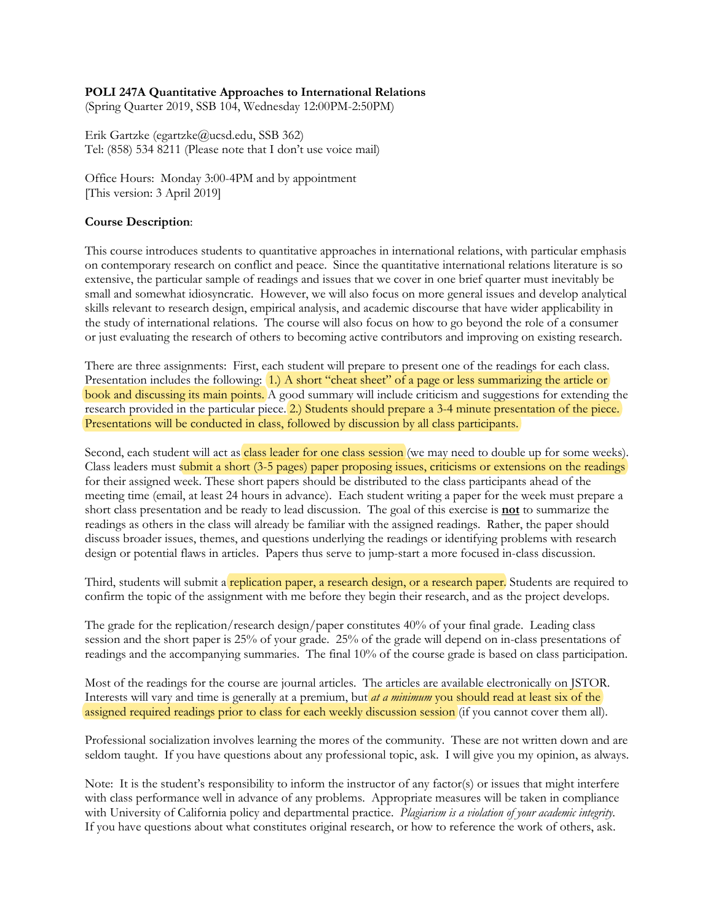#### **POLI 247A Quantitative Approaches to International Relations**

(Spring Quarter 2019, SSB 104, Wednesday 12:00PM-2:50PM)

Erik Gartzke (egartzke@ucsd.edu, SSB 362) Tel: (858) 534 8211 (Please note that I don't use voice mail)

Office Hours: Monday 3:00-4PM and by appointment [This version: 3 April 2019]

#### **Course Description**:

This course introduces students to quantitative approaches in international relations, with particular emphasis on contemporary research on conflict and peace. Since the quantitative international relations literature is so extensive, the particular sample of readings and issues that we cover in one brief quarter must inevitably be small and somewhat idiosyncratic. However, we will also focus on more general issues and develop analytical skills relevant to research design, empirical analysis, and academic discourse that have wider applicability in the study of international relations. The course will also focus on how to go beyond the role of a consumer or just evaluating the research of others to becoming active contributors and improving on existing research.

There are three assignments: First, each student will prepare to present one of the readings for each class. Presentation includes the following: 1.) A short "cheat sheet" of a page or less summarizing the article or book and discussing its main points. A good summary will include criticism and suggestions for extending the research provided in the particular piece. 2.) Students should prepare a 3-4 minute presentation of the piece. Presentations will be conducted in class, followed by discussion by all class participants.

Second, each student will act as **class leader for one class session** (we may need to double up for some weeks). Class leaders must submit a short (3-5 pages) paper proposing issues, criticisms or extensions on the readings for their assigned week. These short papers should be distributed to the class participants ahead of the meeting time (email, at least 24 hours in advance). Each student writing a paper for the week must prepare a short class presentation and be ready to lead discussion. The goal of this exercise is **not** to summarize the readings as others in the class will already be familiar with the assigned readings. Rather, the paper should discuss broader issues, themes, and questions underlying the readings or identifying problems with research design or potential flaws in articles. Papers thus serve to jump-start a more focused in-class discussion.

Third, students will submit a replication paper, a research design, or a research paper. Students are required to confirm the topic of the assignment with me before they begin their research, and as the project develops.

The grade for the replication/research design/paper constitutes 40% of your final grade. Leading class session and the short paper is 25% of your grade. 25% of the grade will depend on in-class presentations of readings and the accompanying summaries. The final 10% of the course grade is based on class participation.

Most of the readings for the course are journal articles. The articles are available electronically on JSTOR. Interests will vary and time is generally at a premium, but *at a minimum* you should read at least six of the assigned required readings prior to class for each weekly discussion session (if you cannot cover them all).

Professional socialization involves learning the mores of the community. These are not written down and are seldom taught. If you have questions about any professional topic, ask. I will give you my opinion, as always.

Note: It is the student's responsibility to inform the instructor of any factor(s) or issues that might interfere with class performance well in advance of any problems. Appropriate measures will be taken in compliance with University of California policy and departmental practice. *Plagiarism is a violation of your academic integrity*. If you have questions about what constitutes original research, or how to reference the work of others, ask.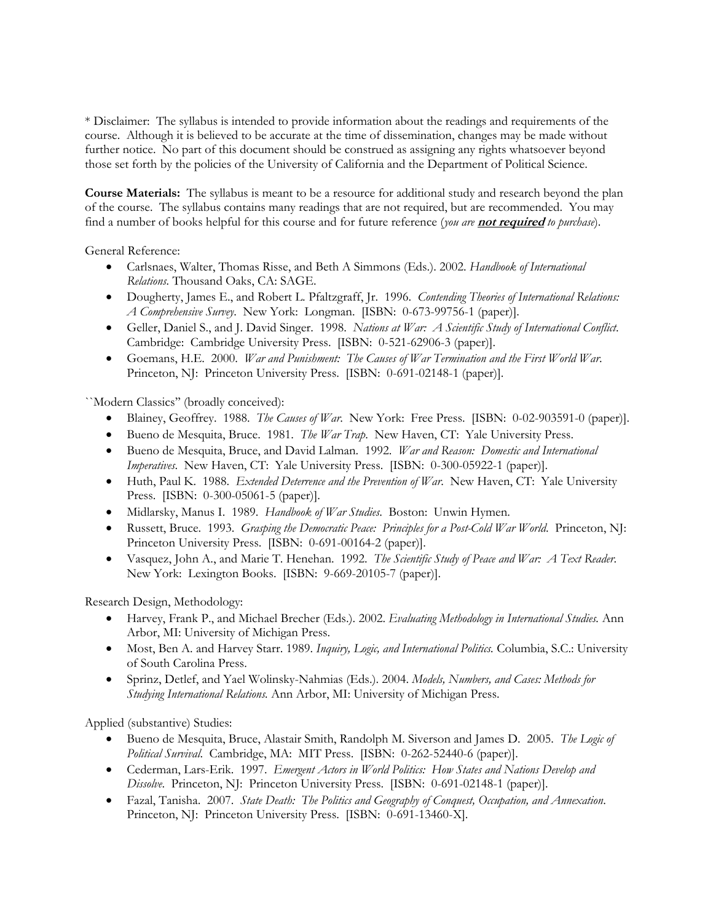\* Disclaimer: The syllabus is intended to provide information about the readings and requirements of the course. Although it is believed to be accurate at the time of dissemination, changes may be made without further notice. No part of this document should be construed as assigning any rights whatsoever beyond those set forth by the policies of the University of California and the Department of Political Science.

**Course Materials:** The syllabus is meant to be a resource for additional study and research beyond the plan of the course. The syllabus contains many readings that are not required, but are recommended. You may find a number of books helpful for this course and for future reference (*you are* **not required** *to purchase*).

General Reference:

- Carlsnaes, Walter, Thomas Risse, and Beth A Simmons (Eds.). 2002. *Handbook of International Relations.* Thousand Oaks, CA: SAGE.
- Dougherty, James E., and Robert L. Pfaltzgraff, Jr. 1996. *Contending Theories of International Relations: A Comprehensive Survey*. New York: Longman. [ISBN: 0-673-99756-1 (paper)].
- Geller, Daniel S., and J. David Singer. 1998. *Nations at War: A Scientific Study of International Conflict*. Cambridge: Cambridge University Press. [ISBN: 0-521-62906-3 (paper)].
- Goemans, H.E. 2000. *War and Punishment: The Causes of War Termination and the First World War*. Princeton, NJ: Princeton University Press. [ISBN: 0-691-02148-1 (paper)].

``Modern Classics'' (broadly conceived):

- Blainey, Geoffrey. 1988. *The Causes of War*. New York: Free Press. [ISBN: 0-02-903591-0 (paper)].
- Bueno de Mesquita, Bruce. 1981. *The War Trap*. New Haven, CT: Yale University Press.
- Bueno de Mesquita, Bruce, and David Lalman. 1992. *War and Reason: Domestic and International Imperatives*. New Haven, CT: Yale University Press. [ISBN: 0-300-05922-1 (paper)].
- Huth, Paul K. 1988. *Extended Deterrence and the Prevention of War*. New Haven, CT: Yale University Press. [ISBN: 0-300-05061-5 (paper)].
- Midlarsky, Manus I. 1989. *Handbook of War Studies*. Boston: Unwin Hymen.
- Russett, Bruce. 1993. *Grasping the Democratic Peace: Principles for a Post-Cold War World*. Princeton, NJ: Princeton University Press. [ISBN: 0-691-00164-2 (paper)].
- Vasquez, John A., and Marie T. Henehan. 1992. *The Scientific Study of Peace and War: A Text Reader*. New York: Lexington Books. [ISBN: 9-669-20105-7 (paper)].

Research Design, Methodology:

- Harvey, Frank P., and Michael Brecher (Eds.). 2002. *Evaluating Methodology in International Studies.* Ann Arbor, MI: University of Michigan Press.
- Most, Ben A. and Harvey Starr. 1989. *Inquiry, Logic, and International Politics.* Columbia, S.C.: University of South Carolina Press.
- Sprinz, Detlef, and Yael Wolinsky-Nahmias (Eds.). 2004. *Models, Numbers, and Cases: Methods for Studying International Relations.* Ann Arbor, MI: University of Michigan Press.

Applied (substantive) Studies:

- Bueno de Mesquita, Bruce, Alastair Smith, Randolph M. Siverson and James D. 2005. *The Logic of Political Survival*. Cambridge, MA: MIT Press. [ISBN: 0-262-52440-6 (paper)].
- Cederman, Lars-Erik. 1997. *Emergent Actors in World Politics: How States and Nations Develop and Dissolve*. Princeton, NJ: Princeton University Press. [ISBN: 0-691-02148-1 (paper)].
- Fazal, Tanisha. 2007. *State Death: The Politics and Geography of Conquest, Occupation, and Annexation*. Princeton, NJ: Princeton University Press. [ISBN: 0-691-13460-X].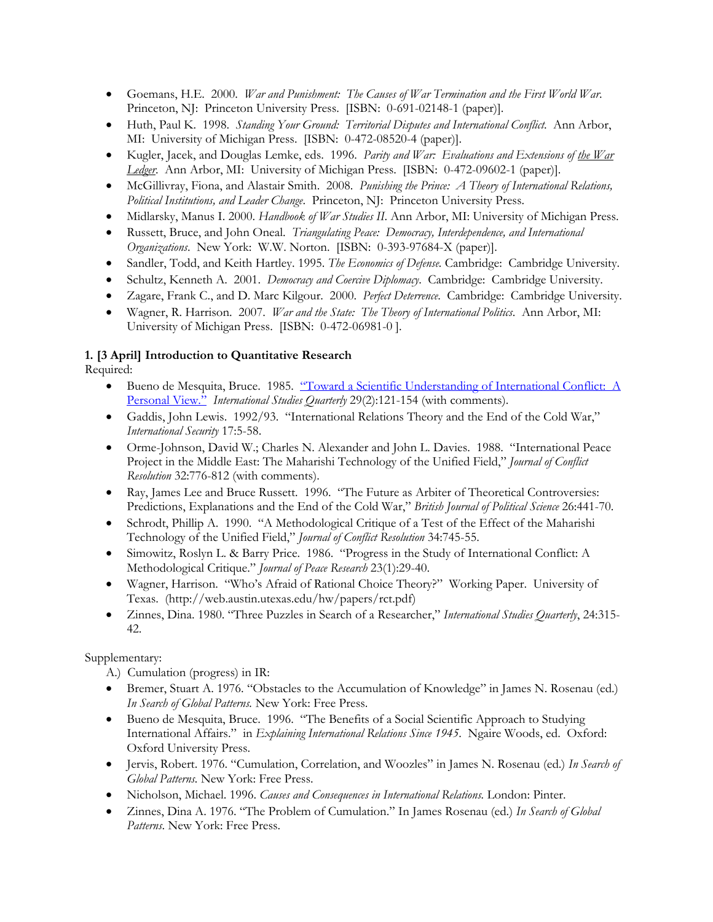- Goemans, H.E. 2000. *War and Punishment: The Causes of War Termination and the First World War*. Princeton, NJ: Princeton University Press. [ISBN: 0-691-02148-1 (paper)].
- Huth, Paul K. 1998. *Standing Your Ground: Territorial Disputes and International Conflict*. Ann Arbor, MI: University of Michigan Press. [ISBN: 0-472-08520-4 (paper)].
- Kugler, Jacek, and Douglas Lemke, eds. 1996. *Parity and War: Evaluations and Extensions of the War Ledger*. Ann Arbor, MI: University of Michigan Press. [ISBN: 0-472-09602-1 (paper)].
- McGillivray, Fiona, and Alastair Smith. 2008. *Punishing the Prince: A Theory of International Relations, Political Institutions, and Leader Change*. Princeton, NJ: Princeton University Press.
- Midlarsky, Manus I. 2000. *Handbook of War Studies II*. Ann Arbor, MI: University of Michigan Press.
- Russett, Bruce, and John Oneal. *Triangulating Peace: Democracy, Interdependence, and International Organizations*. New York: W.W. Norton. [ISBN: 0-393-97684-X (paper)].
- Sandler, Todd, and Keith Hartley. 1995. *The Economics of Defense.* Cambridge: Cambridge University.
- Schultz, Kenneth A. 2001. *Democracy and Coercive Diplomacy*. Cambridge: Cambridge University.
- Zagare, Frank C., and D. Marc Kilgour. 2000. *Perfect Deterrence*. Cambridge: Cambridge University.
- Wagner, R. Harrison. 2007. *War and the State: The Theory of International Politics*. Ann Arbor, MI: University of Michigan Press. [ISBN: 0-472-06981-0 ].

#### **1. [3 April] Introduction to Quantitative Research**

Required:

- Bueno de Mesquita, Bruce. 1985. "Toward a Scientific Understanding of International Conflict: A Personal View." *International Studies Quarterly* 29(2):121-154 (with comments).
- Gaddis, John Lewis. 1992/93. "International Relations Theory and the End of the Cold War," *International Security* 17:5-58.
- Orme-Johnson, David W.; Charles N. Alexander and John L. Davies. 1988. "International Peace Project in the Middle East: The Maharishi Technology of the Unified Field," *Journal of Conflict Resolution* 32:776-812 (with comments).
- Ray, James Lee and Bruce Russett. 1996. "The Future as Arbiter of Theoretical Controversies: Predictions, Explanations and the End of the Cold War," *British Journal of Political Science* 26:441-70.
- Schrodt, Phillip A. 1990. "A Methodological Critique of a Test of the Effect of the Maharishi Technology of the Unified Field," *Journal of Conflict Resolution* 34:745-55.
- Simowitz, Roslyn L. & Barry Price. 1986. "Progress in the Study of International Conflict: A Methodological Critique." *Journal of Peace Research* 23(1):29-40.
- Wagner, Harrison. "Who's Afraid of Rational Choice Theory?" Working Paper. University of Texas. (http://web.austin.utexas.edu/hw/papers/rct.pdf)
- Zinnes, Dina. 1980. "Three Puzzles in Search of a Researcher," *International Studies Quarterly*, 24:315- 42.

- A.) Cumulation (progress) in IR:
- Bremer, Stuart A. 1976. "Obstacles to the Accumulation of Knowledge" in James N. Rosenau (ed.) *In Search of Global Patterns.* New York: Free Press.
- Bueno de Mesquita, Bruce. 1996. "The Benefits of a Social Scientific Approach to Studying International Affairs." in *Explaining International Relations Since 1945*. Ngaire Woods, ed. Oxford: Oxford University Press.
- Jervis, Robert. 1976. "Cumulation, Correlation, and Woozles" in James N. Rosenau (ed.) *In Search of Global Patterns.* New York: Free Press.
- Nicholson, Michael. 1996. *Causes and Consequences in International Relations.* London: Pinter.
- Zinnes, Dina A. 1976. "The Problem of Cumulation." In James Rosenau (ed.) *In Search of Global Patterns*. New York: Free Press.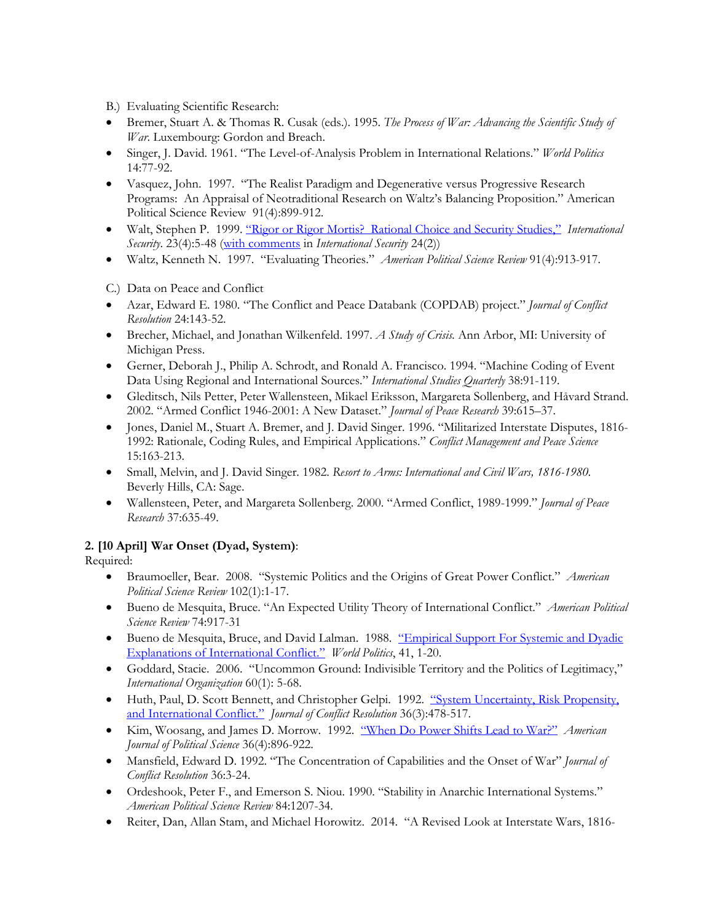B.) Evaluating Scientific Research:

- Bremer, Stuart A. & Thomas R. Cusak (eds.). 1995. *The Process of War: Advancing the Scientific Study of War*. Luxembourg: Gordon and Breach.
- Singer, J. David. 1961. "The Level-of-Analysis Problem in International Relations." *World Politics* 14:77-92.
- Vasquez, John. 1997. "The Realist Paradigm and Degenerative versus Progressive Research Programs: An Appraisal of Neotraditional Research on Waltz's Balancing Proposition." American Political Science Review 91(4):899-912.
- Walt, Stephen P. 1999. "Rigor or Rigor Mortis? Rational Choice and Security Studies," *International Security*. 23(4):5-48 (with comments in *International Security* 24(2))
- Waltz, Kenneth N. 1997. "Evaluating Theories." *American Political Science Review* 91(4):913-917.

C.) Data on Peace and Conflict

- Azar, Edward E. 1980. "The Conflict and Peace Databank (COPDAB) project." *Journal of Conflict Resolution* 24:143-52.
- Brecher, Michael, and Jonathan Wilkenfeld. 1997. *A Study of Crisis.* Ann Arbor, MI: University of Michigan Press.
- Gerner, Deborah J., Philip A. Schrodt, and Ronald A. Francisco. 1994. "Machine Coding of Event Data Using Regional and International Sources." *International Studies Quarterly* 38:91-119.
- Gleditsch, Nils Petter, Peter Wallensteen, Mikael Eriksson, Margareta Sollenberg, and Håvard Strand. 2002. "Armed Conflict 1946-2001: A New Dataset." *Journal of Peace Research* 39:615–37.
- Jones, Daniel M., Stuart A. Bremer, and J. David Singer. 1996. "Militarized Interstate Disputes, 1816- 1992: Rationale, Coding Rules, and Empirical Applications." *Conflict Management and Peace Science* 15:163-213.
- Small, Melvin, and J. David Singer. 1982. *Resort to Arms: International and Civil Wars, 1816-1980.* Beverly Hills, CA: Sage.
- Wallensteen, Peter, and Margareta Sollenberg. 2000. "Armed Conflict, 1989-1999." *Journal of Peace Research* 37:635-49.

## **2. [10 April] War Onset (Dyad, System)**:

- Braumoeller, Bear. 2008. "Systemic Politics and the Origins of Great Power Conflict." *American Political Science Review* 102(1):1-17.
- Bueno de Mesquita, Bruce. "An Expected Utility Theory of International Conflict." *American Political Science Review* 74:917-31
- Bueno de Mesquita, Bruce, and David Lalman. 1988. "Empirical Support For Systemic and Dyadic Explanations of International Conflict." *World Politics*, 41, 1-20.
- Goddard, Stacie. 2006. "Uncommon Ground: Indivisible Territory and the Politics of Legitimacy," *International Organization* 60(1): 5-68.
- Huth, Paul, D. Scott Bennett, and Christopher Gelpi. 1992. "System Uncertainty, Risk Propensity, and International Conflict." *Journal of Conflict Resolution* 36(3):478-517.
- Kim, Woosang, and James D. Morrow. 1992. "When Do Power Shifts Lead to War?" *American Journal of Political Science* 36(4):896-922.
- Mansfield, Edward D. 1992. "The Concentration of Capabilities and the Onset of War" *Journal of Conflict Resolution* 36:3-24.
- Ordeshook, Peter F., and Emerson S. Niou. 1990. "Stability in Anarchic International Systems." *American Political Science Review* 84:1207-34.
- Reiter, Dan, Allan Stam, and Michael Horowitz. 2014. "A Revised Look at Interstate Wars, 1816-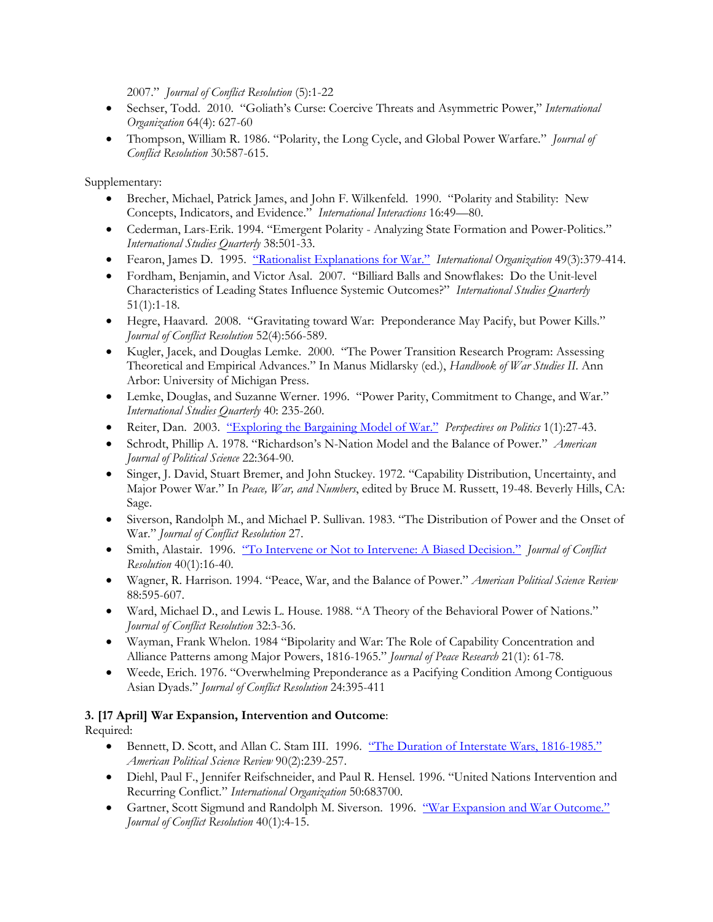2007." *Journal of Conflict Resolution* (5):1-22

- Sechser, Todd. 2010. "Goliath's Curse: Coercive Threats and Asymmetric Power," *International Organization* 64(4): 627-60
- Thompson, William R. 1986. "Polarity, the Long Cycle, and Global Power Warfare." *Journal of Conflict Resolution* 30:587-615.

Supplementary:

- Brecher, Michael, Patrick James, and John F. Wilkenfeld. 1990. "Polarity and Stability: New Concepts, Indicators, and Evidence." *International Interactions* 16:49—80.
- Cederman, Lars-Erik. 1994. "Emergent Polarity Analyzing State Formation and Power-Politics." *International Studies Quarterly* 38:501-33.
- Fearon, James D. 1995. "Rationalist Explanations for War." *International Organization* 49(3):379-414.
- Fordham, Benjamin, and Victor Asal. 2007. "Billiard Balls and Snowflakes: Do the Unit-level Characteristics of Leading States Influence Systemic Outcomes?" *International Studies Quarterly* 51(1):1-18.
- Hegre, Haavard. 2008. "Gravitating toward War: Preponderance May Pacify, but Power Kills." *Journal of Conflict Resolution* 52(4):566-589.
- Kugler, Jacek, and Douglas Lemke. 2000. "The Power Transition Research Program: Assessing Theoretical and Empirical Advances." In Manus Midlarsky (ed.), *Handbook of War Studies II*. Ann Arbor: University of Michigan Press.
- Lemke, Douglas, and Suzanne Werner. 1996. "Power Parity, Commitment to Change, and War." *International Studies Quarterly* 40: 235-260.
- Reiter, Dan. 2003. "Exploring the Bargaining Model of War." *Perspectives on Politics* 1(1):27-43.
- Schrodt, Phillip A. 1978. "Richardson's N-Nation Model and the Balance of Power." *American Journal of Political Science* 22:364-90.
- Singer, J. David, Stuart Bremer, and John Stuckey. 1972. "Capability Distribution, Uncertainty, and Major Power War." In *Peace, War, and Numbers*, edited by Bruce M. Russett, 19-48. Beverly Hills, CA: Sage.
- Siverson, Randolph M., and Michael P. Sullivan. 1983. "The Distribution of Power and the Onset of War." *Journal of Conflict Resolution* 27.
- Smith, Alastair. 1996. "To Intervene or Not to Intervene: A Biased Decision." *Journal of Conflict Resolution* 40(1):16-40.
- Wagner, R. Harrison. 1994. "Peace, War, and the Balance of Power." *American Political Science Review* 88:595-607.
- Ward, Michael D., and Lewis L. House. 1988. "A Theory of the Behavioral Power of Nations." *Journal of Conflict Resolution* 32:3-36.
- Wayman, Frank Whelon. 1984 "Bipolarity and War: The Role of Capability Concentration and Alliance Patterns among Major Powers, 1816-1965." *Journal of Peace Research* 21(1): 61-78.
- Weede, Erich. 1976. "Overwhelming Preponderance as a Pacifying Condition Among Contiguous Asian Dyads." *Journal of Conflict Resolution* 24:395-411

## **3. [17 April] War Expansion, Intervention and Outcome**:

- Bennett, D. Scott, and Allan C. Stam III. 1996. "The Duration of Interstate Wars, 1816-1985." *American Political Science Review* 90(2):239-257.
- Diehl, Paul F., Jennifer Reifschneider, and Paul R. Hensel. 1996. "United Nations Intervention and Recurring Conflict." *International Organization* 50:683700.
- Gartner, Scott Sigmund and Randolph M. Siverson. 1996. "War Expansion and War Outcome." *Journal of Conflict Resolution* 40(1):4-15.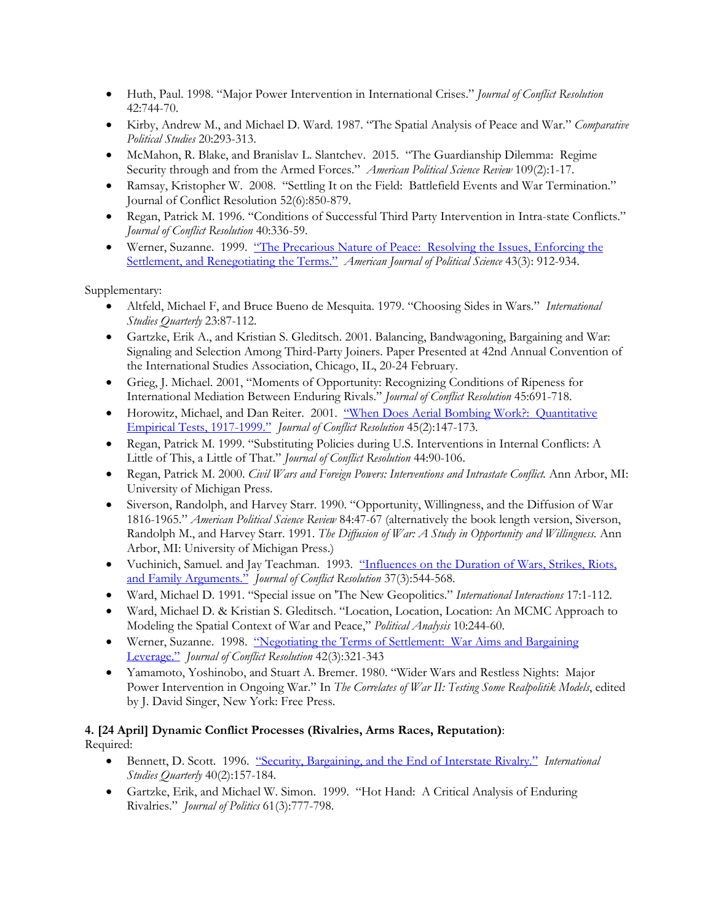- Huth, Paul. 1998. "Major Power Intervention in International Crises." *Journal of Conflict Resolution*  42:744-70.
- Kirby, Andrew M., and Michael D. Ward. 1987. "The Spatial Analysis of Peace and War." *Comparative Political Studies* 20:293-313.
- McMahon, R. Blake, and Branislav L. Slantchev. 2015. "The Guardianship Dilemma: Regime Security through and from the Armed Forces." *American Political Science Review* 109(2):1-17.
- Ramsay, Kristopher W. 2008. "Settling It on the Field: Battlefield Events and War Termination." Journal of Conflict Resolution 52(6):850-879.
- Regan, Patrick M. 1996. "Conditions of Successful Third Party Intervention in Intra-state Conflicts." *Journal of Conflict Resolution* 40:336-59.
- Werner, Suzanne. 1999. "The Precarious Nature of Peace: Resolving the Issues, Enforcing the Settlement, and Renegotiating the Terms." *American Journal of Political Science* 43(3): 912-934.

- Altfeld, Michael F, and Bruce Bueno de Mesquita. 1979. "Choosing Sides in Wars." *International Studies Quarterly* 23:87-112.
- Gartzke, Erik A., and Kristian S. Gleditsch. 2001. Balancing, Bandwagoning, Bargaining and War: Signaling and Selection Among Third-Party Joiners. Paper Presented at 42nd Annual Convention of the International Studies Association, Chicago, IL, 20-24 February.
- Grieg, J. Michael. 2001, "Moments of Opportunity: Recognizing Conditions of Ripeness for International Mediation Between Enduring Rivals." *Journal of Conflict Resolution* 45:691-718.
- Horowitz, Michael, and Dan Reiter. 2001. "When Does Aerial Bombing Work?: Quantitative Empirical Tests, 1917-1999." *Journal of Conflict Resolution* 45(2):147-173.
- Regan, Patrick M. 1999. "Substituting Policies during U.S. Interventions in Internal Conflicts: A Little of This, a Little of That." *Journal of Conflict Resolution* 44:90-106.
- Regan, Patrick M. 2000. *Civil Wars and Foreign Powers: Interventions and Intrastate Conflict.* Ann Arbor, MI: University of Michigan Press.
- Siverson, Randolph, and Harvey Starr. 1990. "Opportunity, Willingness, and the Diffusion of War 1816-1965." *American Political Science Review* 84:47-67 (alternatively the book length version, Siverson, Randolph M., and Harvey Starr. 1991. *The Diffusion of War: A Study in Opportunity and Willingness.* Ann Arbor, MI: University of Michigan Press.)
- Vuchinich, Samuel. and Jay Teachman. 1993. "Influences on the Duration of Wars, Strikes, Riots, and Family Arguments." *Journal of Conflict Resolution* 37(3):544-568.
- Ward, Michael D. 1991. "Special issue on 'The New Geopolitics." *International Interactions* 17:1-112.
- Ward, Michael D. & Kristian S. Gleditsch. "Location, Location, Location: An MCMC Approach to Modeling the Spatial Context of War and Peace," *Political Analysis* 10:244-60.
- Werner, Suzanne. 1998. "Negotiating the Terms of Settlement: War Aims and Bargaining Leverage." *Journal of Conflict Resolution* 42(3):321-343
- Yamamoto, Yoshinobo, and Stuart A. Bremer. 1980. "Wider Wars and Restless Nights: Major Power Intervention in Ongoing War." In *The Correlates of War II: Testing Some Realpolitik Models*, edited by J. David Singer, New York: Free Press.

#### **4. [24 April] Dynamic Conflict Processes (Rivalries, Arms Races, Reputation)**: Required:

- Bennett, D. Scott. 1996. "Security, Bargaining, and the End of Interstate Rivalry." *International Studies Quarterly* 40(2):157-184.
- Gartzke, Erik, and Michael W. Simon. 1999. "Hot Hand: A Critical Analysis of Enduring Rivalries." *Journal of Politics* 61(3):777-798.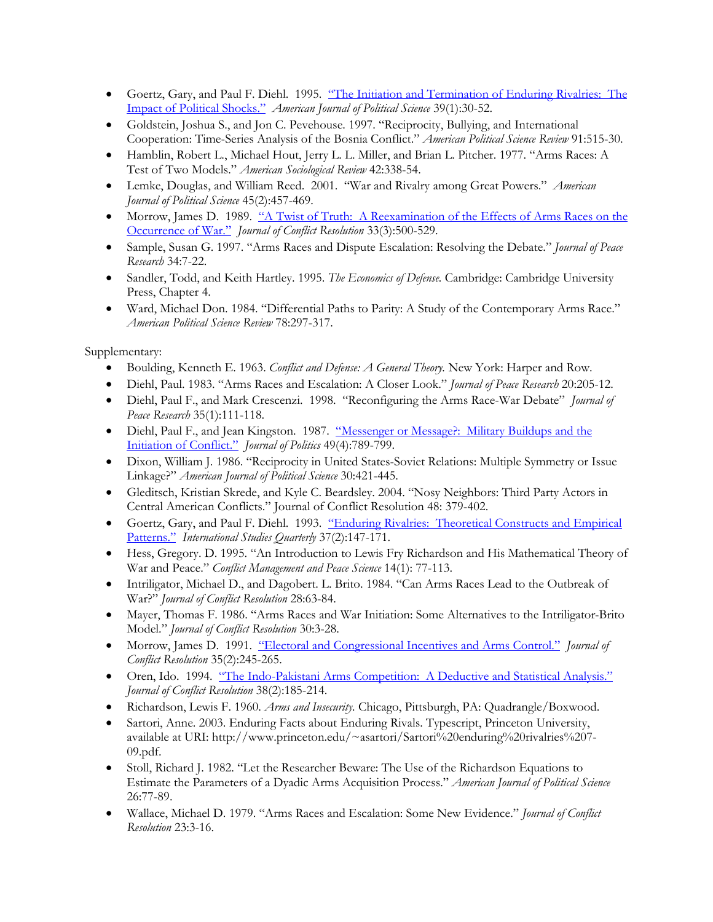- Goertz, Gary, and Paul F. Diehl. 1995. "The Initiation and Termination of Enduring Rivalries: The Impact of Political Shocks." *American Journal of Political Science* 39(1):30-52.
- Goldstein, Joshua S., and Jon C. Pevehouse. 1997. "Reciprocity, Bullying, and International Cooperation: Time-Series Analysis of the Bosnia Conflict." *American Political Science Review* 91:515-30.
- Hamblin, Robert L., Michael Hout, Jerry L. L. Miller, and Brian L. Pitcher. 1977. "Arms Races: A Test of Two Models." *American Sociological Review* 42:338-54.
- Lemke, Douglas, and William Reed. 2001. "War and Rivalry among Great Powers." *American Journal of Political Science* 45(2):457-469.
- Morrow, James D. 1989. "A Twist of Truth: A Reexamination of the Effects of Arms Races on the Occurrence of War." *Journal of Conflict Resolution* 33(3):500-529.
- Sample, Susan G. 1997. "Arms Races and Dispute Escalation: Resolving the Debate." *Journal of Peace Research* 34:7-22.
- Sandler, Todd, and Keith Hartley. 1995. *The Economics of Defense.* Cambridge: Cambridge University Press, Chapter 4.
- Ward, Michael Don. 1984. "Differential Paths to Parity: A Study of the Contemporary Arms Race." *American Political Science Review* 78:297-317.

- Boulding, Kenneth E. 1963. *Conflict and Defense: A General Theory.* New York: Harper and Row.
- Diehl, Paul. 1983. "Arms Races and Escalation: A Closer Look." *Journal of Peace Research* 20:205-12.
- Diehl, Paul F., and Mark Crescenzi. 1998. "Reconfiguring the Arms Race-War Debate" *Journal of Peace Research* 35(1):111-118.
- Diehl, Paul F., and Jean Kingston. 1987. "Messenger or Message?: Military Buildups and the Initiation of Conflict." *Journal of Politics* 49(4):789-799.
- Dixon, William J. 1986. "Reciprocity in United States-Soviet Relations: Multiple Symmetry or Issue Linkage?" *American Journal of Political Science* 30:421-445.
- Gleditsch, Kristian Skrede, and Kyle C. Beardsley. 2004. "Nosy Neighbors: Third Party Actors in Central American Conflicts." Journal of Conflict Resolution 48: 379-402.
- Goertz, Gary, and Paul F. Diehl. 1993. "Enduring Rivalries: Theoretical Constructs and Empirical Patterns." *International Studies Quarterly* 37(2):147-171.
- Hess, Gregory. D. 1995. "An Introduction to Lewis Fry Richardson and His Mathematical Theory of War and Peace." *Conflict Management and Peace Science* 14(1): 77-113.
- Intriligator, Michael D., and Dagobert. L. Brito. 1984. "Can Arms Races Lead to the Outbreak of War?" *Journal of Conflict Resolution* 28:63-84.
- Mayer, Thomas F. 1986. "Arms Races and War Initiation: Some Alternatives to the Intriligator-Brito Model." *Journal of Conflict Resolution* 30:3-28.
- Morrow, James D. 1991. "Electoral and Congressional Incentives and Arms Control." *Journal of Conflict Resolution* 35(2):245-265.
- Oren, Ido. 1994. "The Indo-Pakistani Arms Competition: A Deductive and Statistical Analysis." *Journal of Conflict Resolution* 38(2):185-214.
- Richardson, Lewis F. 1960. *Arms and Insecurity.* Chicago, Pittsburgh, PA: Quadrangle/Boxwood.
- Sartori, Anne. 2003. Enduring Facts about Enduring Rivals. Typescript, Princeton University, available at URI: http://www.princeton.edu/~asartori/Sartori%20enduring%20rivalries%207- 09.pdf.
- Stoll, Richard J. 1982. "Let the Researcher Beware: The Use of the Richardson Equations to Estimate the Parameters of a Dyadic Arms Acquisition Process." *American Journal of Political Science* 26:77-89.
- Wallace, Michael D. 1979. "Arms Races and Escalation: Some New Evidence." *Journal of Conflict Resolution* 23:3-16.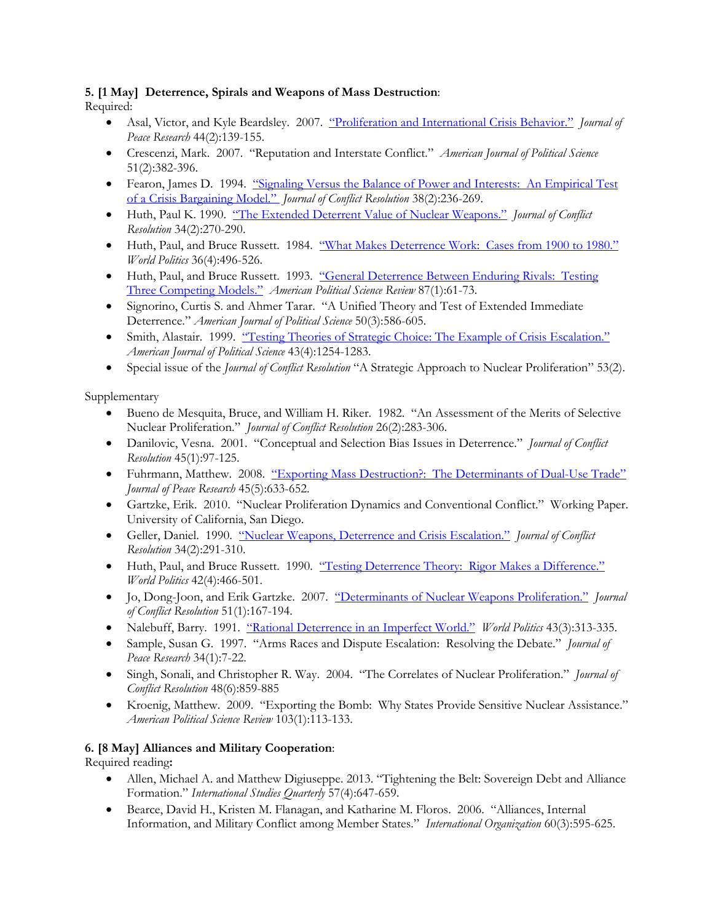# **5. [1 May] Deterrence, Spirals and Weapons of Mass Destruction**:

Required:

- Asal, Victor, and Kyle Beardsley. 2007. "Proliferation and International Crisis Behavior." *Journal of Peace Research* 44(2):139-155.
- Crescenzi, Mark. 2007. "Reputation and Interstate Conflict." *American Journal of Political Science* 51(2):382-396.
- Fearon, James D. 1994. "Signaling Versus the Balance of Power and Interests: An Empirical Test of a Crisis Bargaining Model." *Journal of Conflict Resolution* 38(2):236-269.
- Huth, Paul K. 1990. "The Extended Deterrent Value of Nuclear Weapons." *Journal of Conflict Resolution* 34(2):270-290.
- Huth, Paul, and Bruce Russett. 1984. "What Makes Deterrence Work: Cases from 1900 to 1980." *World Politics* 36(4):496-526.
- Huth, Paul, and Bruce Russett. 1993. "General Deterrence Between Enduring Rivals: Testing Three Competing Models." *American Political Science Review* 87(1):61-73.
- Signorino, Curtis S. and Ahmer Tarar. "A Unified Theory and Test of Extended Immediate Deterrence." *American Journal of Political Science* 50(3):586-605.
- Smith, Alastair. 1999. "Testing Theories of Strategic Choice: The Example of Crisis Escalation." *American Journal of Political Science* 43(4):1254-1283.
- Special issue of the *Journal of Conflict Resolution* "A Strategic Approach to Nuclear Proliferation" 53(2).

Supplementary

- Bueno de Mesquita, Bruce, and William H. Riker. 1982. "An Assessment of the Merits of Selective Nuclear Proliferation." *Journal of Conflict Resolution* 26(2):283-306.
- Danilovic, Vesna. 2001. "Conceptual and Selection Bias Issues in Deterrence." *Journal of Conflict Resolution* 45(1):97-125.
- Fuhrmann, Matthew. 2008. "Exporting Mass Destruction?: The Determinants of Dual-Use Trade" *Journal of Peace Research* 45(5):633-652.
- Gartzke, Erik. 2010. "Nuclear Proliferation Dynamics and Conventional Conflict." Working Paper. University of California, San Diego.
- Geller, Daniel. 1990. "Nuclear Weapons, Deterrence and Crisis Escalation." *Journal of Conflict Resolution* 34(2):291-310.
- Huth, Paul, and Bruce Russett. 1990. "Testing Deterrence Theory: Rigor Makes a Difference." *World Politics* 42(4):466-501.
- Jo, Dong-Joon, and Erik Gartzke. 2007. "Determinants of Nuclear Weapons Proliferation." *Journal of Conflict Resolution* 51(1):167-194.
- Nalebuff, Barry. 1991. "Rational Deterrence in an Imperfect World." *World Politics* 43(3):313-335.
- Sample, Susan G. 1997. "Arms Races and Dispute Escalation: Resolving the Debate." *Journal of Peace Research* 34(1):7-22.
- Singh, Sonali, and Christopher R. Way. 2004. "The Correlates of Nuclear Proliferation." *Journal of Conflict Resolution* 48(6):859-885
- Kroenig, Matthew. 2009. "Exporting the Bomb: Why States Provide Sensitive Nuclear Assistance." *American Political Science Review* 103(1):113-133.

## **6. [8 May] Alliances and Military Cooperation**:

Required reading**:**

- Allen, Michael A. and Matthew Digiuseppe. 2013. "Tightening the Belt: Sovereign Debt and Alliance Formation." *International Studies Quarterly* 57(4):647-659.
- Bearce, David H., Kristen M. Flanagan, and Katharine M. Floros. 2006. "Alliances, Internal Information, and Military Conflict among Member States." *International Organization* 60(3):595-625.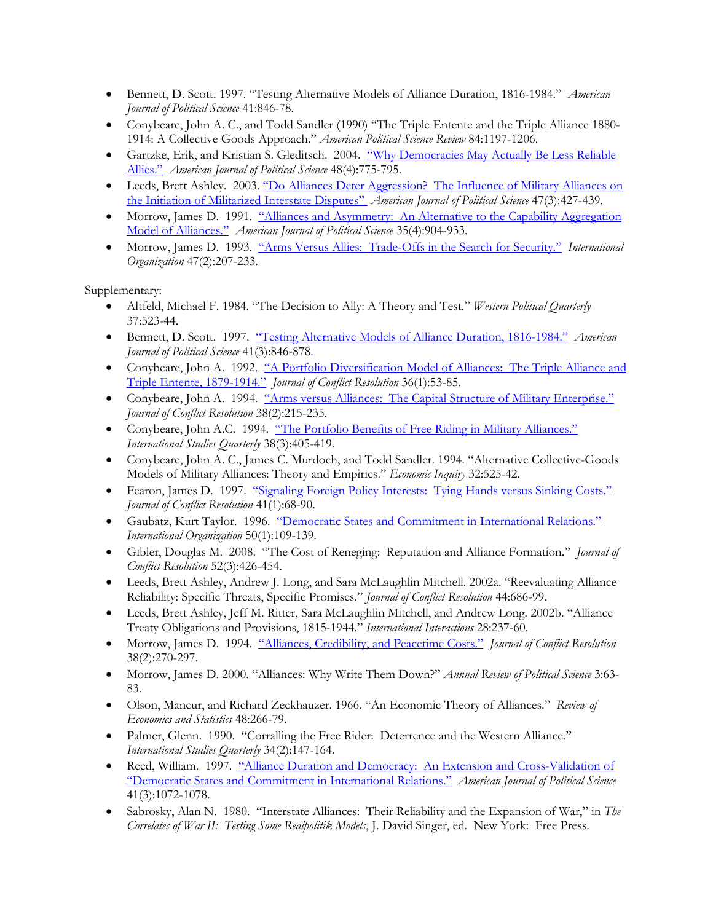- Bennett, D. Scott. 1997. "Testing Alternative Models of Alliance Duration, 1816-1984." *American Journal of Political Science* 41:846-78.
- Conybeare, John A. C., and Todd Sandler (1990) "The Triple Entente and the Triple Alliance 1880- 1914: A Collective Goods Approach." *American Political Science Review* 84:1197-1206.
- Gartzke, Erik, and Kristian S. Gleditsch. 2004. "Why Democracies May Actually Be Less Reliable Allies." *American Journal of Political Science* 48(4):775-795.
- Leeds, Brett Ashley. 2003. "Do Alliances Deter Aggression? The Influence of Military Alliances on the Initiation of Militarized Interstate Disputes" *American Journal of Political Science* 47(3):427-439.
- Morrow, James D. 1991. "Alliances and Asymmetry: An Alternative to the Capability Aggregation Model of Alliances." *American Journal of Political Science* 35(4):904-933.
- Morrow, James D. 1993. "Arms Versus Allies: Trade-Offs in the Search for Security." *International Organization* 47(2):207-233.

- Altfeld, Michael F. 1984. "The Decision to Ally: A Theory and Test." *Western Political Quarterly* 37:523-44.
- Bennett, D. Scott. 1997. "Testing Alternative Models of Alliance Duration, 1816-1984." *American Journal of Political Science* 41(3):846-878.
- Conybeare, John A. 1992. "A Portfolio Diversification Model of Alliances: The Triple Alliance and Triple Entente, 1879-1914." *Journal of Conflict Resolution* 36(1):53-85.
- Conybeare, John A. 1994. "Arms versus Alliances: The Capital Structure of Military Enterprise." *Journal of Conflict Resolution* 38(2):215-235.
- Conybeare, John A.C. 1994. "The Portfolio Benefits of Free Riding in Military Alliances." *International Studies Quarterly* 38(3):405-419.
- Conybeare, John A. C., James C. Murdoch, and Todd Sandler. 1994. "Alternative Collective-Goods Models of Military Alliances: Theory and Empirics." *Economic Inquiry* 32:525-42.
- Fearon, James D. 1997. "Signaling Foreign Policy Interests: Tying Hands versus Sinking Costs." *Journal of Conflict Resolution* 41(1):68-90.
- Gaubatz, Kurt Taylor. 1996. "Democratic States and Commitment in International Relations." *International Organization* 50(1):109-139.
- Gibler, Douglas M. 2008. "The Cost of Reneging: Reputation and Alliance Formation." *Journal of Conflict Resolution* 52(3):426-454.
- Leeds, Brett Ashley, Andrew J. Long, and Sara McLaughlin Mitchell. 2002a. "Reevaluating Alliance Reliability: Specific Threats, Specific Promises." *Journal of Conflict Resolution* 44:686-99.
- Leeds, Brett Ashley, Jeff M. Ritter, Sara McLaughlin Mitchell, and Andrew Long. 2002b. "Alliance Treaty Obligations and Provisions, 1815-1944." *International Interactions* 28:237-60.
- Morrow, James D. 1994. "Alliances, Credibility, and Peacetime Costs." *Journal of Conflict Resolution* 38(2):270-297.
- Morrow, James D. 2000. "Alliances: Why Write Them Down?" *Annual Review of Political Science* 3:63- 83.
- Olson, Mancur, and Richard Zeckhauzer. 1966. "An Economic Theory of Alliances." *Review of Economics and Statistics* 48:266-79.
- Palmer, Glenn. 1990. "Corralling the Free Rider: Deterrence and the Western Alliance." *International Studies Quarterly* 34(2):147-164.
- Reed, William. 1997. "Alliance Duration and Democracy: An Extension and Cross-Validation of "Democratic States and Commitment in International Relations." *American Journal of Political Science* 41(3):1072-1078.
- Sabrosky, Alan N. 1980. "Interstate Alliances: Their Reliability and the Expansion of War," in *The Correlates of War II: Testing Some Realpolitik Models*, J. David Singer, ed. New York: Free Press.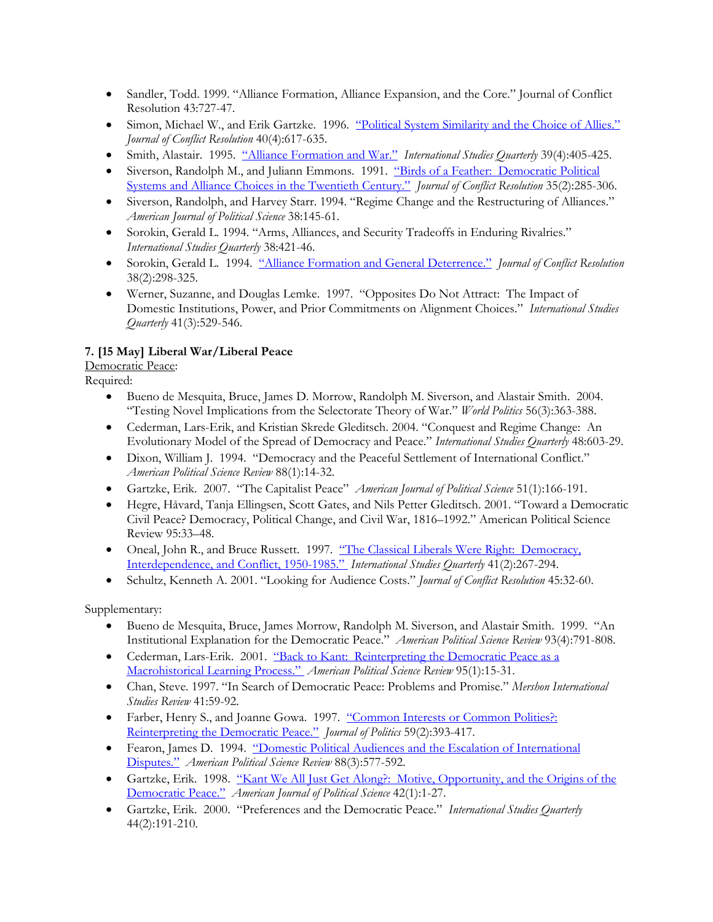- Sandler, Todd. 1999. "Alliance Formation, Alliance Expansion, and the Core." Journal of Conflict Resolution 43:727-47.
- Simon, Michael W., and Erik Gartzke. 1996. "Political System Similarity and the Choice of Allies." *Journal of Conflict Resolution* 40(4):617-635.
- Smith, Alastair. 1995. "Alliance Formation and War." *International Studies Quarterly* 39(4):405-425.
- Siverson, Randolph M., and Juliann Emmons. 1991. "Birds of a Feather: Democratic Political Systems and Alliance Choices in the Twentieth Century." *Journal of Conflict Resolution* 35(2):285-306.
- Siverson, Randolph, and Harvey Starr. 1994. "Regime Change and the Restructuring of Alliances." *American Journal of Political Science* 38:145-61.
- Sorokin, Gerald L. 1994. "Arms, Alliances, and Security Tradeoffs in Enduring Rivalries." *International Studies Quarterly* 38:421-46.
- Sorokin, Gerald L. 1994. "Alliance Formation and General Deterrence." *Journal of Conflict Resolution* 38(2):298-325.
- Werner, Suzanne, and Douglas Lemke. 1997. "Opposites Do Not Attract: The Impact of Domestic Institutions, Power, and Prior Commitments on Alignment Choices." *International Studies Quarterly* 41(3):529-546.

## **7. [15 May] Liberal War/Liberal Peace**

## Democratic Peace:

Required:

- Bueno de Mesquita, Bruce, James D. Morrow, Randolph M. Siverson, and Alastair Smith. 2004. "Testing Novel Implications from the Selectorate Theory of War." *World Politics* 56(3):363-388.
- Cederman, Lars-Erik, and Kristian Skrede Gleditsch. 2004. "Conquest and Regime Change: An Evolutionary Model of the Spread of Democracy and Peace." *International Studies Quarterly* 48:603-29.
- Dixon, William J. 1994. "Democracy and the Peaceful Settlement of International Conflict." *American Political Science Review* 88(1):14-32.
- Gartzke, Erik. 2007. "The Capitalist Peace" *American Journal of Political Science* 51(1):166-191.
- Hegre, Håvard, Tanja Ellingsen, Scott Gates, and Nils Petter Gleditsch. 2001. "Toward a Democratic Civil Peace? Democracy, Political Change, and Civil War, 1816–1992." American Political Science Review 95:33–48.
- Oneal, John R., and Bruce Russett. 1997. "The Classical Liberals Were Right: Democracy, Interdependence, and Conflict, 1950-1985." *International Studies Quarterly* 41(2):267-294.
- Schultz, Kenneth A. 2001. "Looking for Audience Costs." *Journal of Conflict Resolution* 45:32-60.

- Bueno de Mesquita, Bruce, James Morrow, Randolph M. Siverson, and Alastair Smith. 1999. "An Institutional Explanation for the Democratic Peace." *American Political Science Review* 93(4):791-808.
- Cederman, Lars-Erik. 2001. "Back to Kant: Reinterpreting the Democratic Peace as a Macrohistorical Learning Process." *American Political Science Review* 95(1):15-31.
- Chan, Steve. 1997. "In Search of Democratic Peace: Problems and Promise." *Mershon International Studies Review* 41:59-92.
- Farber, Henry S., and Joanne Gowa. 1997. "Common Interests or Common Polities?: Reinterpreting the Democratic Peace." *Journal of Politics* 59(2):393-417.
- Fearon, James D. 1994. "Domestic Political Audiences and the Escalation of International Disputes." *American Political Science Review* 88(3):577-592.
- Gartzke, Erik. 1998. "Kant We All Just Get Along?: Motive, Opportunity, and the Origins of the Democratic Peace." *American Journal of Political Science* 42(1):1-27.
- Gartzke, Erik. 2000. "Preferences and the Democratic Peace." *International Studies Quarterly* 44(2):191-210.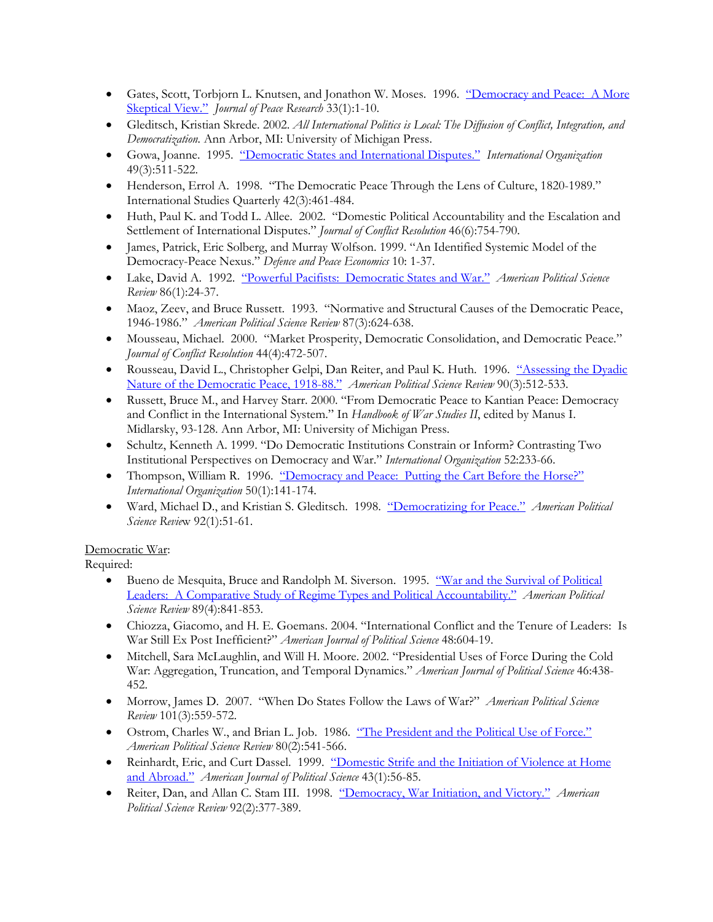- Gates, Scott, Torbjorn L. Knutsen, and Jonathon W. Moses. 1996. "Democracy and Peace: A More Skeptical View." *Journal of Peace Research* 33(1):1-10.
- Gleditsch, Kristian Skrede. 2002. *All International Politics is Local: The Diffusion of Conflict, Integration, and Democratization.* Ann Arbor, MI: University of Michigan Press.
- Gowa, Joanne. 1995. "Democratic States and International Disputes." *International Organization* 49(3):511-522.
- Henderson, Errol A. 1998. "The Democratic Peace Through the Lens of Culture, 1820-1989." International Studies Quarterly 42(3):461-484.
- Huth, Paul K. and Todd L. Allee. 2002. "Domestic Political Accountability and the Escalation and Settlement of International Disputes." *Journal of Conflict Resolution* 46(6):754-790.
- James, Patrick, Eric Solberg, and Murray Wolfson. 1999. "An Identified Systemic Model of the Democracy-Peace Nexus." *Defence and Peace Economics* 10: 1-37.
- Lake, David A. 1992. "Powerful Pacifists: Democratic States and War." *American Political Science Review* 86(1):24-37.
- Maoz, Zeev, and Bruce Russett. 1993. "Normative and Structural Causes of the Democratic Peace, 1946-1986." *American Political Science Review* 87(3):624-638.
- Mousseau, Michael. 2000. "Market Prosperity, Democratic Consolidation, and Democratic Peace." *Journal of Conflict Resolution* 44(4):472-507.
- Rousseau, David L., Christopher Gelpi, Dan Reiter, and Paul K. Huth. 1996. "Assessing the Dyadic Nature of the Democratic Peace, 1918-88." *American Political Science Review* 90(3):512-533.
- Russett, Bruce M., and Harvey Starr. 2000. "From Democratic Peace to Kantian Peace: Democracy and Conflict in the International System." In *Handbook of War Studies II*, edited by Manus I. Midlarsky, 93-128. Ann Arbor, MI: University of Michigan Press.
- Schultz, Kenneth A. 1999. "Do Democratic Institutions Constrain or Inform? Contrasting Two Institutional Perspectives on Democracy and War." *International Organization* 52:233-66.
- Thompson, William R. 1996. "Democracy and Peace: Putting the Cart Before the Horse?" *International Organization* 50(1):141-174.
- Ward, Michael D., and Kristian S. Gleditsch. 1998. "Democratizing for Peace." *American Political Science Revie*w 92(1):51-61.

#### Democratic War:

- Bueno de Mesquita, Bruce and Randolph M. Siverson. 1995. "War and the Survival of Political Leaders: A Comparative Study of Regime Types and Political Accountability." *American Political Science Review* 89(4):841-853.
- Chiozza, Giacomo, and H. E. Goemans. 2004. "International Conflict and the Tenure of Leaders: Is War Still Ex Post Inefficient?" *American Journal of Political Science* 48:604-19.
- Mitchell, Sara McLaughlin, and Will H. Moore. 2002. "Presidential Uses of Force During the Cold War: Aggregation, Truncation, and Temporal Dynamics." *American Journal of Political Science* 46:438- 452.
- Morrow, James D. 2007. "When Do States Follow the Laws of War?" *American Political Science Review* 101(3):559-572.
- Ostrom, Charles W., and Brian L. Job. 1986. "The President and the Political Use of Force." *American Political Science Review* 80(2):541-566.
- Reinhardt, Eric, and Curt Dassel. 1999. "Domestic Strife and the Initiation of Violence at Home and Abroad." *American Journal of Political Science* 43(1):56-85.
- Reiter, Dan, and Allan C. Stam III. 1998. "Democracy, War Initiation, and Victory." *American Political Science Review* 92(2):377-389.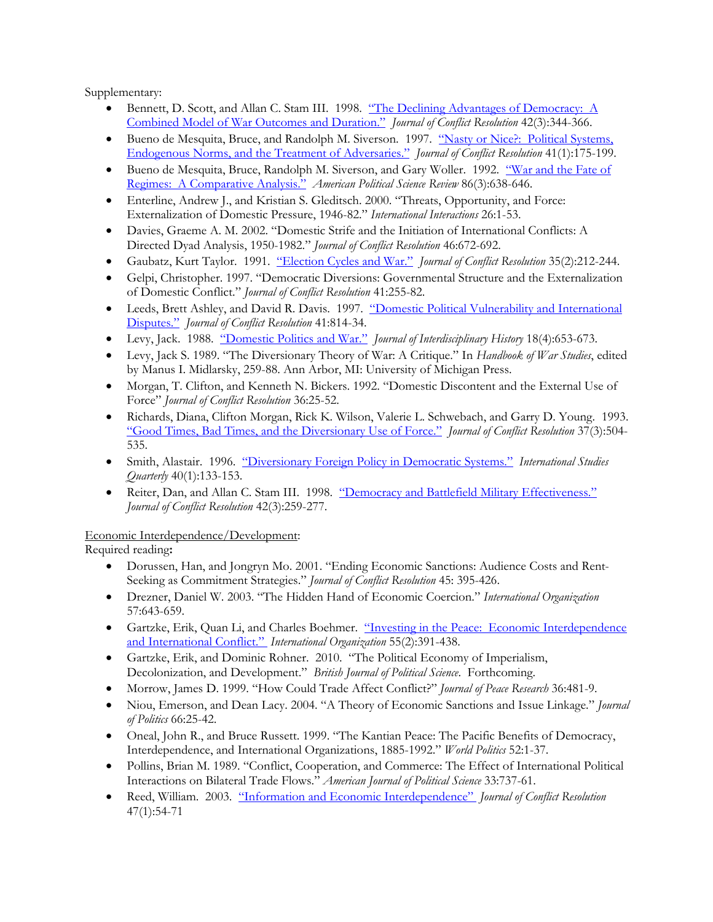- Bennett, D. Scott, and Allan C. Stam III. 1998. "The Declining Advantages of Democracy: A Combined Model of War Outcomes and Duration." *Journal of Conflict Resolution* 42(3):344-366.
- Bueno de Mesquita, Bruce, and Randolph M. Siverson. 1997. "Nasty or Nice?: Political Systems, Endogenous Norms, and the Treatment of Adversaries." *Journal of Conflict Resolution* 41(1):175-199.
- Bueno de Mesquita, Bruce, Randolph M. Siverson, and Gary Woller. 1992. "War and the Fate of Regimes: A Comparative Analysis." *American Political Science Review* 86(3):638-646.
- Enterline, Andrew J., and Kristian S. Gleditsch. 2000. "Threats, Opportunity, and Force: Externalization of Domestic Pressure, 1946-82." *International Interactions* 26:1-53.
- Davies, Graeme A. M. 2002. "Domestic Strife and the Initiation of International Conflicts: A Directed Dyad Analysis, 1950-1982." *Journal of Conflict Resolution* 46:672-692.
- Gaubatz, Kurt Taylor. 1991. "Election Cycles and War." *Journal of Conflict Resolution* 35(2):212-244.
- Gelpi, Christopher. 1997. "Democratic Diversions: Governmental Structure and the Externalization of Domestic Conflict." *Journal of Conflict Resolution* 41:255-82.
- Leeds, Brett Ashley, and David R. Davis. 1997. "Domestic Political Vulnerability and International Disputes." *Journal of Conflict Resolution* 41:814-34.
- Levy, Jack. 1988. "Domestic Politics and War." *Journal of Interdisciplinary History* 18(4):653-673.
- Levy, Jack S. 1989. "The Diversionary Theory of War: A Critique." In *Handbook of War Studies*, edited by Manus I. Midlarsky, 259-88. Ann Arbor, MI: University of Michigan Press.
- Morgan, T. Clifton, and Kenneth N. Bickers. 1992. "Domestic Discontent and the External Use of Force" *Journal of Conflict Resolution* 36:25-52.
- Richards, Diana, Clifton Morgan, Rick K. Wilson, Valerie L. Schwebach, and Garry D. Young. 1993. "Good Times, Bad Times, and the Diversionary Use of Force." *Journal of Conflict Resolution* 37(3):504- 535.
- Smith, Alastair. 1996. "Diversionary Foreign Policy in Democratic Systems." *International Studies Quarterly* 40(1):133-153.
- Reiter, Dan, and Allan C. Stam III. 1998. "Democracy and Battlefield Military Effectiveness." *Journal of Conflict Resolution* 42(3):259-277.

Economic Interdependence/Development:

Required reading**:**

- Dorussen, Han, and Jongryn Mo. 2001. "Ending Economic Sanctions: Audience Costs and Rent-Seeking as Commitment Strategies." *Journal of Conflict Resolution* 45: 395-426.
- Drezner, Daniel W. 2003. "The Hidden Hand of Economic Coercion." *International Organization* 57:643-659.
- Gartzke, Erik, Quan Li, and Charles Boehmer. "Investing in the Peace: Economic Interdependence and International Conflict." *International Organization* 55(2):391-438.
- Gartzke, Erik, and Dominic Rohner. 2010. "The Political Economy of Imperialism, Decolonization, and Development." *British Journal of Political Science*. Forthcoming.
- Morrow, James D. 1999. "How Could Trade Affect Conflict?" *Journal of Peace Research* 36:481-9.
- Niou, Emerson, and Dean Lacy. 2004. "A Theory of Economic Sanctions and Issue Linkage." *Journal of Politics* 66:25-42.
- Oneal, John R., and Bruce Russett. 1999. "The Kantian Peace: The Pacific Benefits of Democracy, Interdependence, and International Organizations, 1885-1992." *World Politics* 52:1-37.
- Pollins, Brian M. 1989. "Conflict, Cooperation, and Commerce: The Effect of International Political Interactions on Bilateral Trade Flows." *American Journal of Political Science* 33:737-61.
- Reed, William. 2003. "Information and Economic Interdependence" *Journal of Conflict Resolution* 47(1):54-71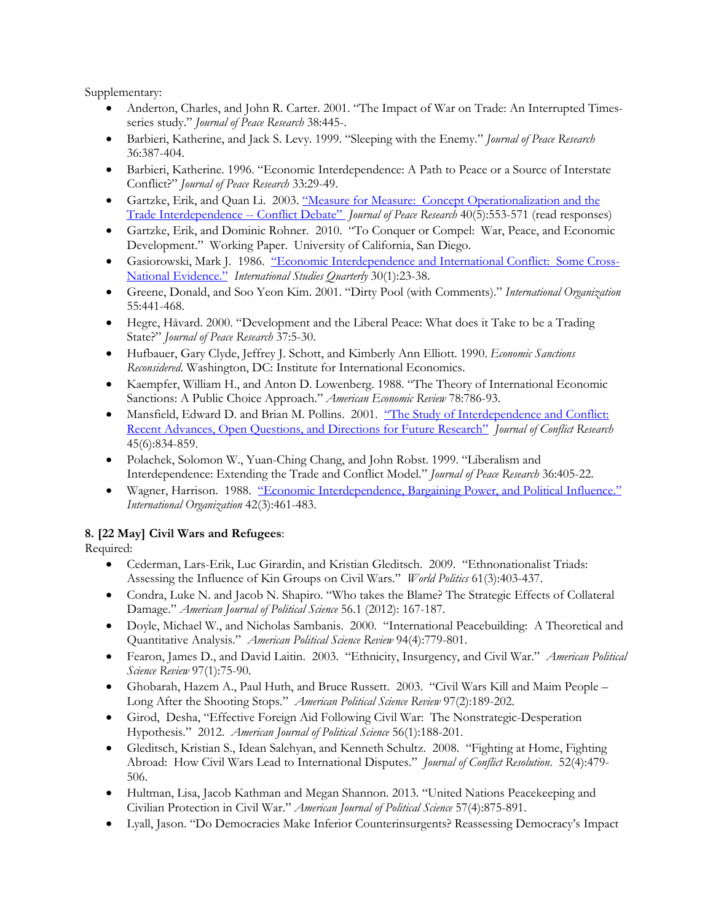- Anderton, Charles, and John R. Carter. 2001. "The Impact of War on Trade: An Interrupted Timesseries study." *Journal of Peace Research* 38:445-.
- Barbieri, Katherine, and Jack S. Levy. 1999. "Sleeping with the Enemy." *Journal of Peace Research* 36:387-404.
- Barbieri, Katherine. 1996. "Economic Interdependence: A Path to Peace or a Source of Interstate Conflict?" *Journal of Peace Research* 33:29-49.
- Gartzke, Erik, and Quan Li. 2003. "Measure for Measure: Concept Operationalization and the Trade Interdependence -- Conflict Debate" *Journal of Peace Research* 40(5):553-571 (read responses)
- Gartzke, Erik, and Dominic Rohner. 2010. "To Conquer or Compel: War, Peace, and Economic Development." Working Paper. University of California, San Diego.
- Gasiorowski, Mark J. 1986. "Economic Interdependence and International Conflict: Some Cross-National Evidence." *International Studies Quarterly* 30(1):23-38.
- Greene, Donald, and Soo Yeon Kim. 2001. "Dirty Pool (with Comments)." *International Organization* 55:441-468.
- Hegre, Håvard. 2000. "Development and the Liberal Peace: What does it Take to be a Trading State?" *Journal of Peace Research* 37:5-30.
- Hufbauer, Gary Clyde, Jeffrey J. Schott, and Kimberly Ann Elliott. 1990. *Economic Sanctions Reconsidered*. Washington, DC: Institute for International Economics.
- Kaempfer, William H., and Anton D. Lowenberg. 1988. "The Theory of International Economic Sanctions: A Public Choice Approach." *American Economic Review* 78:786-93.
- Mansfield, Edward D. and Brian M. Pollins. 2001. "The Study of Interdependence and Conflict: Recent Advances, Open Questions, and Directions for Future Research" *Journal of Conflict Research* 45(6):834-859.
- Polachek, Solomon W., Yuan-Ching Chang, and John Robst. 1999. "Liberalism and Interdependence: Extending the Trade and Conflict Model." *Journal of Peace Research* 36:405-22.
- Wagner, Harrison. 1988. "Economic Interdependence, Bargaining Power, and Political Influence." *International Organization* 42(3):461-483.

## **8. [22 May] Civil Wars and Refugees**:

- Cederman, Lars-Erik, Luc Girardin, and Kristian Gleditsch. 2009. "Ethnonationalist Triads: Assessing the Influence of Kin Groups on Civil Wars." *World Politics* 61(3):403-437.
- Condra, Luke N. and Jacob N. Shapiro. "Who takes the Blame? The Strategic Effects of Collateral Damage." *American Journal of Political Science* 56.1 (2012): 167-187.
- Doyle, Michael W., and Nicholas Sambanis. 2000. "International Peacebuilding: A Theoretical and Quantitative Analysis." *American Political Science Review* 94(4):779-801.
- Fearon, James D., and David Laitin. 2003. "Ethnicity, Insurgency, and Civil War." *American Political Science Review* 97(1):75-90.
- Ghobarah, Hazem A., Paul Huth, and Bruce Russett. 2003. "Civil Wars Kill and Maim People Long After the Shooting Stops." *American Political Science Review* 97(2):189-202.
- Girod, Desha, "Effective Foreign Aid Following Civil War: The Nonstrategic-Desperation Hypothesis." 2012. *American Journal of Political Science* 56(1):188-201.
- Gleditsch, Kristian S., Idean Salehyan, and Kenneth Schultz. 2008. "Fighting at Home, Fighting Abroad: How Civil Wars Lead to International Disputes." *Journal of Conflict Resolution*. 52(4):479- 506.
- Hultman, Lisa, Jacob Kathman and Megan Shannon. 2013. "United Nations Peacekeeping and Civilian Protection in Civil War." *American Journal of Political Science* 57(4):875-891.
- Lyall, Jason. "Do Democracies Make Inferior Counterinsurgents? Reassessing Democracy's Impact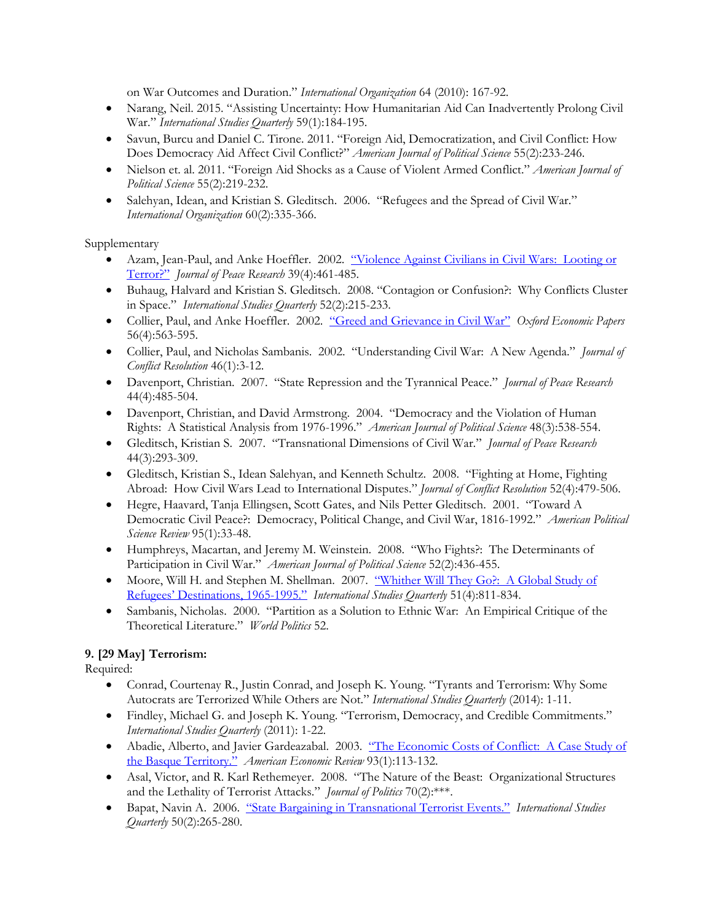on War Outcomes and Duration." *International Organization* 64 (2010): 167-92.

- Narang, Neil. 2015. "Assisting Uncertainty: How Humanitarian Aid Can Inadvertently Prolong Civil War." *International Studies Quarterly* 59(1):184-195.
- Savun, Burcu and Daniel C. Tirone. 2011. "Foreign Aid, Democratization, and Civil Conflict: How Does Democracy Aid Affect Civil Conflict?" *American Journal of Political Science* 55(2):233-246.
- Nielson et. al. 2011. "Foreign Aid Shocks as a Cause of Violent Armed Conflict." *American Journal of Political Science* 55(2):219-232.
- Salehyan, Idean, and Kristian S. Gleditsch. 2006. "Refugees and the Spread of Civil War." *International Organization* 60(2):335-366.

Supplementary

- Azam, Jean-Paul, and Anke Hoeffler. 2002. "Violence Against Civilians in Civil Wars: Looting or Terror?" *Journal of Peace Research* 39(4):461-485.
- Buhaug, Halvard and Kristian S. Gleditsch. 2008. "Contagion or Confusion?: Why Conflicts Cluster in Space." *International Studies Quarterly* 52(2):215-233.
- Collier, Paul, and Anke Hoeffler. 2002. "Greed and Grievance in Civil War" *Oxford Economic Papers* 56(4):563-595.
- Collier, Paul, and Nicholas Sambanis. 2002. "Understanding Civil War: A New Agenda." *Journal of Conflict Resolution* 46(1):3-12.
- Davenport, Christian. 2007. "State Repression and the Tyrannical Peace." *Journal of Peace Research* 44(4):485-504.
- Davenport, Christian, and David Armstrong. 2004. "Democracy and the Violation of Human Rights: A Statistical Analysis from 1976-1996." *American Journal of Political Science* 48(3):538-554.
- Gleditsch, Kristian S. 2007. "Transnational Dimensions of Civil War." *Journal of Peace Research* 44(3):293-309.
- Gleditsch, Kristian S., Idean Salehyan, and Kenneth Schultz. 2008. "Fighting at Home, Fighting Abroad: How Civil Wars Lead to International Disputes." *Journal of Conflict Resolution* 52(4):479-506.
- Hegre, Haavard, Tanja Ellingsen, Scott Gates, and Nils Petter Gleditsch. 2001. "Toward A Democratic Civil Peace?: Democracy, Political Change, and Civil War, 1816-1992." *American Political Science Review* 95(1):33-48.
- Humphreys, Macartan, and Jeremy M. Weinstein. 2008. "Who Fights?: The Determinants of Participation in Civil War." *American Journal of Political Science* 52(2):436-455.
- Moore, Will H. and Stephen M. Shellman. 2007. "Whither Will They Go?: A Global Study of Refugees' Destinations, 1965-1995." *International Studies Quarterly* 51(4):811-834.
- Sambanis, Nicholas. 2000. "Partition as a Solution to Ethnic War: An Empirical Critique of the Theoretical Literature." *World Politics* 52.

# **9. [29 May] Terrorism:**

- Conrad, Courtenay R., Justin Conrad, and Joseph K. Young. "Tyrants and Terrorism: Why Some Autocrats are Terrorized While Others are Not." *International Studies Quarterly* (2014): 1-11.
- Findley, Michael G. and Joseph K. Young. "Terrorism, Democracy, and Credible Commitments." *International Studies Quarterly* (2011): 1-22.
- Abadie, Alberto, and Javier Gardeazabal. 2003. "The Economic Costs of Conflict: A Case Study of the Basque Territory." *American Economic Review* 93(1):113-132.
- Asal, Victor, and R. Karl Rethemeyer. 2008. "The Nature of the Beast: Organizational Structures and the Lethality of Terrorist Attacks." *Journal of Politics* 70(2):\*\*\*.
- Bapat, Navin A. 2006. "State Bargaining in Transnational Terrorist Events." *International Studies Quarterly* 50(2):265-280.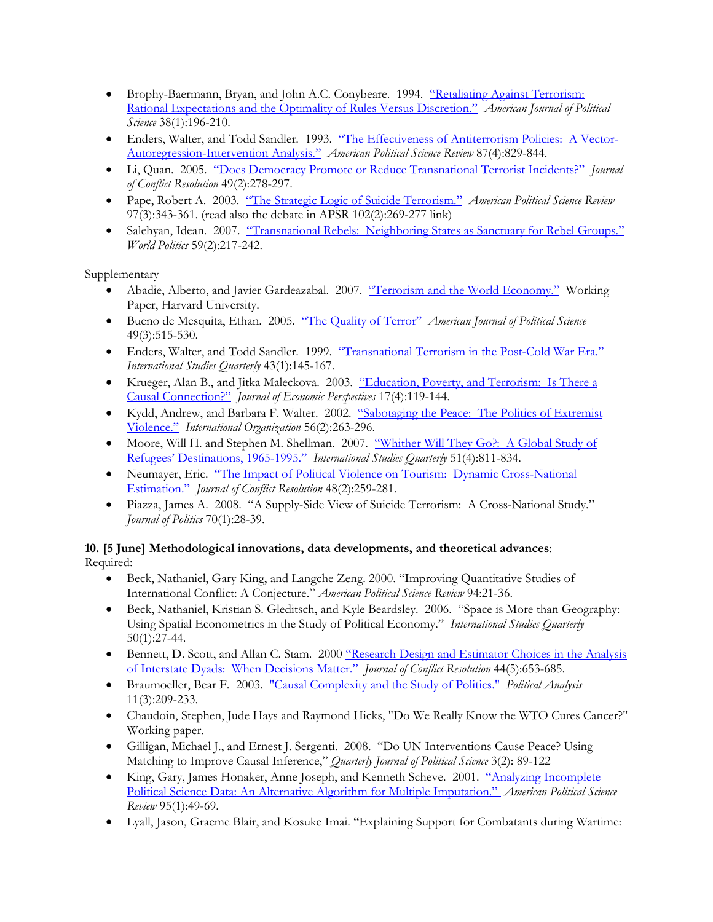- Brophy-Baermann, Bryan, and John A.C. Conybeare. 1994. "Retaliating Against Terrorism: Rational Expectations and the Optimality of Rules Versus Discretion." *American Journal of Political Science* 38(1):196-210.
- Enders, Walter, and Todd Sandler. 1993. "The Effectiveness of Antiterrorism Policies: A Vector-Autoregression-Intervention Analysis." *American Political Science Review* 87(4):829-844.
- Li, Quan. 2005. "Does Democracy Promote or Reduce Transnational Terrorist Incidents?" *Journal of Conflict Resolution* 49(2):278-297.
- Pape, Robert A. 2003. "The Strategic Logic of Suicide Terrorism." *American Political Science Review* 97(3):343-361. (read also the debate in APSR 102(2):269-277 link)
- Salehyan, Idean. 2007. "Transnational Rebels: Neighboring States as Sanctuary for Rebel Groups." *World Politics* 59(2):217-242.

- Abadie, Alberto, and Javier Gardeazabal. 2007. "Terrorism and the World Economy." Working Paper, Harvard University.
- Bueno de Mesquita, Ethan. 2005. "The Quality of Terror" *American Journal of Political Science* 49(3):515-530.
- Enders, Walter, and Todd Sandler. 1999. "Transnational Terrorism in the Post-Cold War Era." *International Studies Quarterly* 43(1):145-167.
- Krueger, Alan B., and Jitka Maleckova. 2003. "Education, Poverty, and Terrorism: Is There a Causal Connection?" *Journal of Economic Perspectives* 17(4):119-144.
- Kydd, Andrew, and Barbara F. Walter. 2002. "Sabotaging the Peace: The Politics of Extremist Violence." *International Organization* 56(2):263-296.
- Moore, Will H. and Stephen M. Shellman. 2007. "Whither Will They Go?: A Global Study of Refugees' Destinations, 1965-1995." *International Studies Quarterly* 51(4):811-834.
- Neumayer, Eric. "The Impact of Political Violence on Tourism: Dynamic Cross-National Estimation." *Journal of Conflict Resolution* 48(2):259-281.
- Piazza, James A. 2008. "A Supply-Side View of Suicide Terrorism: A Cross-National Study." *Journal of Politics* 70(1):28-39.

## **10. [5 June] Methodological innovations, data developments, and theoretical advances**: Required:

- Beck, Nathaniel, Gary King, and Langche Zeng. 2000. "Improving Quantitative Studies of International Conflict: A Conjecture." *American Political Science Review* 94:21-36.
- Beck, Nathaniel, Kristian S. Gleditsch, and Kyle Beardsley. 2006. "Space is More than Geography: Using Spatial Econometrics in the Study of Political Economy." *International Studies Quarterly* 50(1):27-44.
- Bennett, D. Scott, and Allan C. Stam. 2000 "Research Design and Estimator Choices in the Analysis of Interstate Dyads: When Decisions Matter." *Journal of Conflict Resolution* 44(5):653-685.
- Braumoeller, Bear F. 2003. "Causal Complexity and the Study of Politics." *Political Analysis* 11(3):209-233.
- Chaudoin, Stephen, Jude Hays and Raymond Hicks, "Do We Really Know the WTO Cures Cancer?" Working paper.
- Gilligan, Michael J., and Ernest J. Sergenti. 2008. "Do UN Interventions Cause Peace? Using Matching to Improve Causal Inference," *Quarterly Journal of Political Science* 3(2): 89-122
- King, Gary, James Honaker, Anne Joseph, and Kenneth Scheve. 2001. "Analyzing Incomplete Political Science Data: An Alternative Algorithm for Multiple Imputation." *American Political Science Review* 95(1):49-69.
- Lyall, Jason, Graeme Blair, and Kosuke Imai. "Explaining Support for Combatants during Wartime: